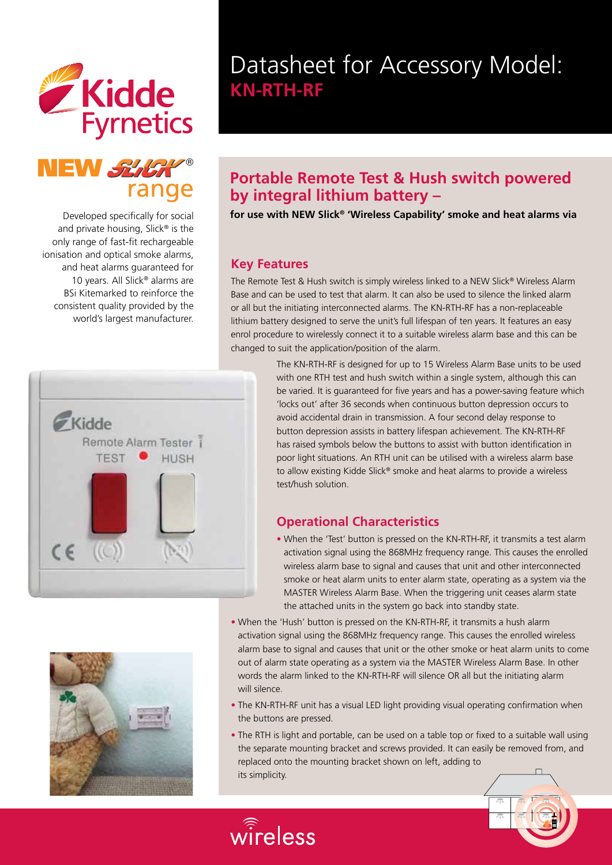



Developed specifically for social and private housing, Slick® is the only range of fast-fit rechargeable ionisation and optical smoke alarms, and heat alarms guaranteed for 10 years. All Slick® alarms are BSi Kitemarked to reinforce the consistent quality provided by the world's largest manufacturer.





# Datasheet for Accessory Model: **KN-RTH-RF**

### **Portable Remote Test & Hush switch powered by integral lithium battery –**

**for use with NEW Slick® 'Wireless Capability' smoke and heat alarms via** 

#### **Key Features**

 $\widehat{\hat{\mathrm{wire}}}$ less

The Remote Test & Hush switch is simply wireless linked to a NEW Slick® Wireless Alarm Base and can be used to test that alarm. It can also be used to silence the linked alarm or all but the initiating interconnected alarms. The KN-RTH-RF has a non-replaceable lithium battery designed to serve the unit's full lifespan of ten years. It features an easy enrol procedure to wirelessly connect it to a suitable wireless alarm base and this can be changed to suit the application/position of the alarm.

> The KN-RTH-RF is designed for up to 15 Wireless Alarm Base units to be used with one RTH test and hush switch within a single system, although this can be varied. It is guaranteed for five years and has a power-saving feature which 'locks out' after 36 seconds when continuous button depression occurs to avoid accidental drain in transmission. A four second delay response to button depression assists in battery lifespan achievement. The KN-RTH-RF has raised symbols below the buttons to assist with button identification in poor light situations. An RTH unit can be utilised with a wireless alarm base to allow existing Kidde Slick® smoke and heat alarms to provide a wireless test/hush solution.

#### **Operational Characteristics**

- When the 'Test' button is pressed on the KN-RTH-RF, it transmits a test alarm activation signal using the 868MHz frequency range. This causes the enrolled wireless alarm base to signal and causes that unit and other interconnected smoke or heat alarm units to enter alarm state, operating as a system via the MASTER Wireless Alarm Base. When the triggering unit ceases alarm state the attached units in the system go back into standby state.
- When the 'Hush' button is pressed on the KN-RTH-RF, it transmits a hush alarm activation signal using the 868MHz frequency range. This causes the enrolled wireless alarm base to signal and causes that unit or the other smoke or heat alarm units to come out of alarm state operating as a system via the MASTER Wireless Alarm Base. In other words the alarm linked to the KN-RTH-RF will silence OR all but the initiating alarm will silence.
- The KN-RTH-RF unit has a visual LED light providing visual operating confirmation when the buttons are pressed.
- The RTH is light and portable, can be used on a table top or fixed to a suitable wall using the separate mounting bracket and screws provided. It can easily be removed from, and replaced onto the mounting bracket shown on left, adding to its simplicity.